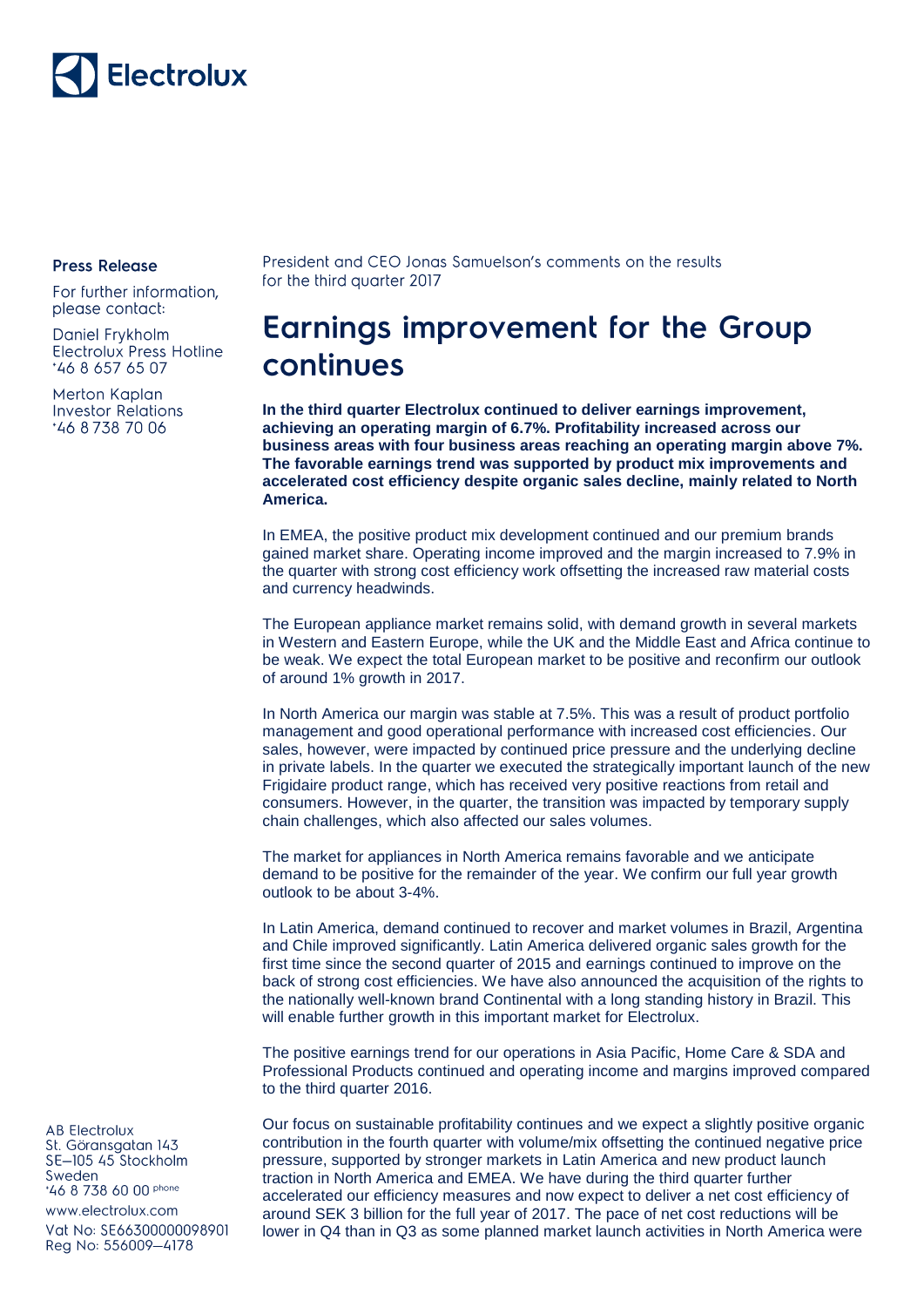

## **Press Release**

For further information, please contact:

Daniel Frykholm Electrolux Press Hotline \*46 8 657 65 07

Merton Kaplan **Investor Relations** \*46 8738 70 06

President and CEO Jonas Samuelson's comments on the results for the third quarter 2017

## **Earnings improvement for the Group** continues

**In the third quarter Electrolux continued to deliver earnings improvement, achieving an operating margin of 6.7%. Profitability increased across our business areas with four business areas reaching an operating margin above 7%. The favorable earnings trend was supported by product mix improvements and accelerated cost efficiency despite organic sales decline, mainly related to North America.**

In EMEA, the positive product mix development continued and our premium brands gained market share. Operating income improved and the margin increased to 7.9% in the quarter with strong cost efficiency work offsetting the increased raw material costs and currency headwinds.

The European appliance market remains solid, with demand growth in several markets in Western and Eastern Europe, while the UK and the Middle East and Africa continue to be weak. We expect the total European market to be positive and reconfirm our outlook of around 1% growth in 2017.

In North America our margin was stable at 7.5%. This was a result of product portfolio management and good operational performance with increased cost efficiencies. Our sales, however, were impacted by continued price pressure and the underlying decline in private labels. In the quarter we executed the strategically important launch of the new Frigidaire product range, which has received very positive reactions from retail and consumers. However, in the quarter, the transition was impacted by temporary supply chain challenges, which also affected our sales volumes.

The market for appliances in North America remains favorable and we anticipate demand to be positive for the remainder of the year. We confirm our full year growth outlook to be about 3-4%.

In Latin America, demand continued to recover and market volumes in Brazil, Argentina and Chile improved significantly. Latin America delivered organic sales growth for the first time since the second quarter of 2015 and earnings continued to improve on the back of strong cost efficiencies. We have also announced the acquisition of the rights to the nationally well-known brand Continental with a long standing history in Brazil. This will enable further growth in this important market for Electrolux.

The positive earnings trend for our operations in Asia Pacific, Home Care & SDA and Professional Products continued and operating income and margins improved compared to the third quarter 2016.

Our focus on sustainable profitability continues and we expect a slightly positive organic contribution in the fourth quarter with volume/mix offsetting the continued negative price pressure, supported by stronger markets in Latin America and new product launch traction in North America and EMEA. We have during the third quarter further accelerated our efficiency measures and now expect to deliver a net cost efficiency of around SEK 3 billion for the full year of 2017. The pace of net cost reductions will be lower in Q4 than in Q3 as some planned market launch activities in North America were

**AB Electrolux** St. Göransgatan 143 SE-105 45 Stockholm Sweden \*46 8 738 60 00 phone

www.electrolux.com

Vat No: SE66300000098901 Reg No: 556009-4178